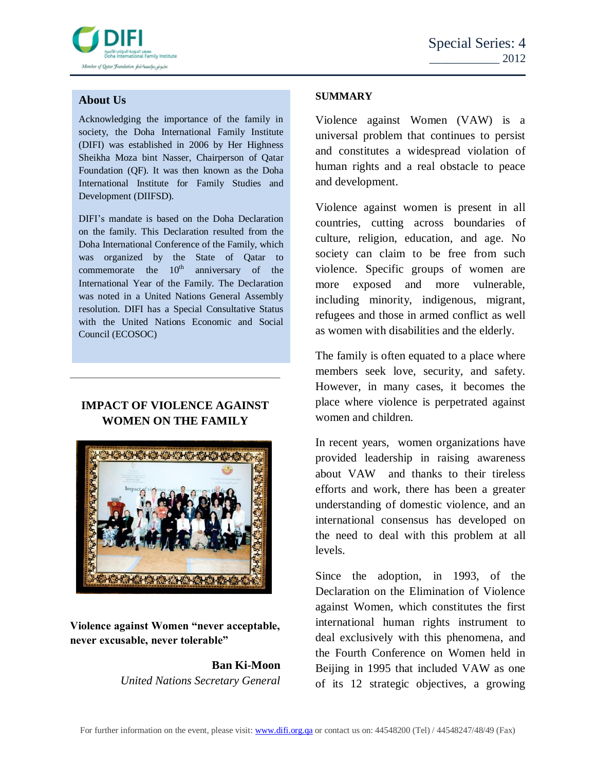

## **About Us**

Acknowledging the importance of the family in society, the Doha International Family Institute (DIFI) was established in 2006 by Her Highness Sheikha Moza bint Nasser, Chairperson of Qatar Foundation (QF). It was then known as the Doha International Institute for Family Studies and Development (DIIFSD).

DIFI's mandate is based on the Doha Declaration on the family. This Declaration resulted from the Doha International Conference of the Family, which was organized by the State of Qatar to commemorate the  $10^{th}$  anniversary of the International Year of the Family. The Declaration was noted in a United Nations General Assembly resolution. DIFI has a Special Consultative Status with the United Nations Economic and Social Council (ECOSOC)

# **IMPACT OF VIOLENCE AGAINST WOMEN ON THE FAMILY**



**Violence against Women "never acceptable, never excusable, never tolerable"**

> **Ban Ki-Moon** *United Nations Secretary General*

#### **SUMMARY**

Violence against Women (VAW) is a universal problem that continues to persist and constitutes a widespread violation of human rights and a real obstacle to peace and development.

Violence against women is present in all countries, cutting across boundaries of culture, religion, education, and age. No society can claim to be free from such violence. Specific groups of women are more exposed and more vulnerable, including minority, indigenous, migrant, refugees and those in armed conflict as well as women with disabilities and the elderly.

The family is often equated to a place where members seek love, security, and safety. However, in many cases, it becomes the place where violence is perpetrated against women and children.

In recent years, women organizations have provided leadership in raising awareness about VAW and thanks to their tireless efforts and work, there has been a greater understanding of domestic violence, and an international consensus has developed on the need to deal with this problem at all levels.

Since the adoption, in 1993, of the Declaration on the Elimination of Violence against Women, which constitutes the first international human rights instrument to deal exclusively with this phenomena, and the Fourth Conference on Women held in Beijing in 1995 that included VAW as one of its 12 strategic objectives, a growing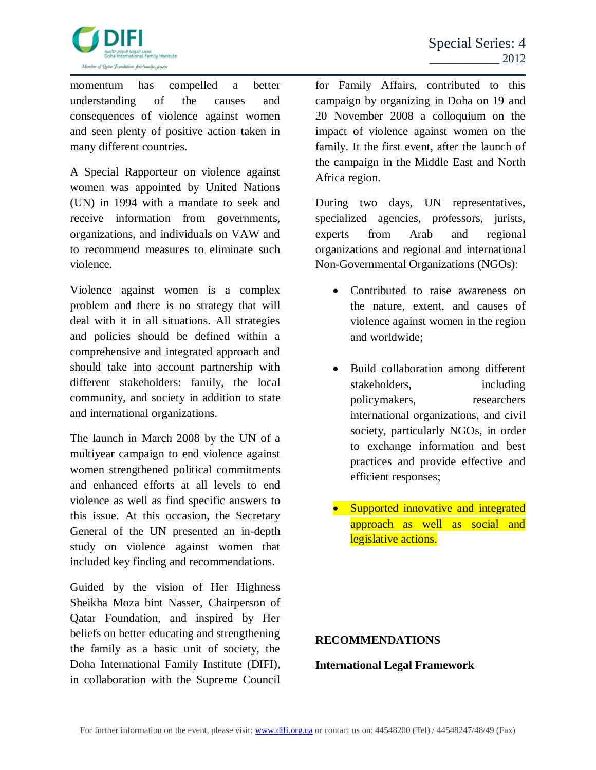

momentum has compelled a better understanding of the causes and consequences of violence against women and seen plenty of positive action taken in many different countries.

A Special Rapporteur on violence against women was appointed by United Nations (UN) in 1994 with a mandate to seek and receive information from governments, organizations, and individuals on VAW and to recommend measures to eliminate such violence.

Violence against women is a complex problem and there is no strategy that will deal with it in all situations. All strategies and policies should be defined within a comprehensive and integrated approach and should take into account partnership with different stakeholders: family, the local community, and society in addition to state and international organizations.

The launch in March 2008 by the UN of a multiyear campaign to end violence against women strengthened political commitments and enhanced efforts at all levels to end violence as well as find specific answers to this issue. At this occasion, the Secretary General of the UN presented an in-depth study on violence against women that included key finding and recommendations.

Guided by the vision of Her Highness Sheikha Moza bint Nasser, Chairperson of Qatar Foundation, and inspired by Her beliefs on better educating and strengthening the family as a basic unit of society, the Doha International Family Institute (DIFI), in collaboration with the Supreme Council

for Family Affairs, contributed to this campaign by organizing in Doha on 19 and 20 November 2008 a colloquium on the impact of violence against women on the family. It the first event, after the launch of the campaign in the Middle East and North Africa region.

During two days, UN representatives, specialized agencies, professors, jurists, experts from Arab and regional organizations and regional and international Non-Governmental Organizations (NGOs):

- Contributed to raise awareness on the nature, extent, and causes of violence against women in the region and worldwide;
- Build collaboration among different stakeholders, including policymakers, researchers international organizations, and civil society, particularly NGOs, in order to exchange information and best practices and provide effective and efficient responses;
- Supported innovative and integrated approach as well as social and legislative actions.

#### **RECOMMENDATIONS**

#### **International Legal Framework**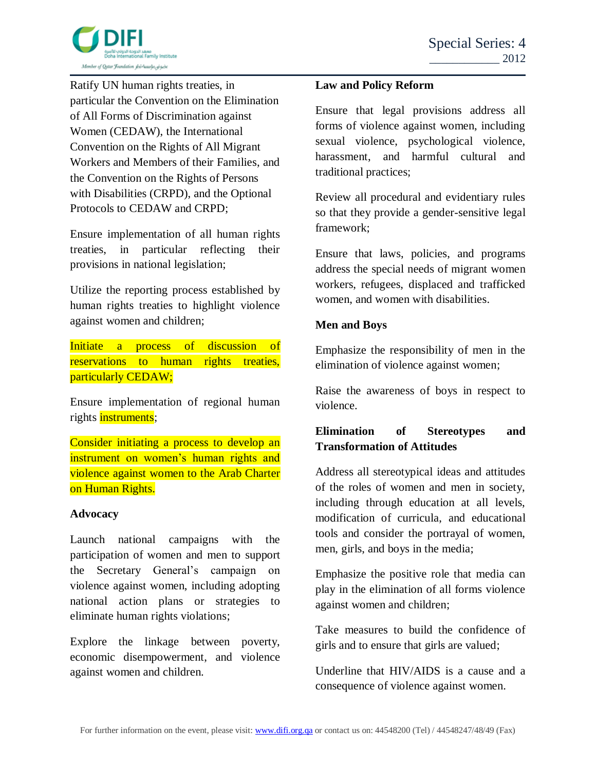

Ratify UN human rights treaties, in particular the Convention on the Elimination of All Forms of Discrimination against Women (CEDAW), the International Convention on the Rights of All Migrant Workers and Members of their Families, and the Convention on the Rights of Persons with Disabilities (CRPD), and the Optional Protocols to CEDAW and CRPD;

Ensure implementation of all human rights treaties, in particular reflecting their provisions in national legislation;

Utilize the reporting process established by human rights treaties to highlight violence against women and children;

Initiate a process of discussion of reservations to human rights treaties, particularly CEDAW;

Ensure implementation of regional human rights **instruments**;

Consider initiating a process to develop an instrument on women's human rights and violence against women to the Arab Charter on Human Rights.

#### **Advocacy**

Launch national campaigns with the participation of women and men to support the Secretary General's campaign on violence against women, including adopting national action plans or strategies to eliminate human rights violations;

Explore the linkage between poverty, economic disempowerment, and violence against women and children.

#### **Law and Policy Reform**

Ensure that legal provisions address all forms of violence against women, including sexual violence, psychological violence, harassment, and harmful cultural and traditional practices;

Review all procedural and evidentiary rules so that they provide a gender-sensitive legal framework;

Ensure that laws, policies, and programs address the special needs of migrant women workers, refugees, displaced and trafficked women, and women with disabilities.

### **Men and Boys**

Emphasize the responsibility of men in the elimination of violence against women;

Raise the awareness of boys in respect to violence.

## **Elimination of Stereotypes and Transformation of Attitudes**

Address all stereotypical ideas and attitudes of the roles of women and men in society, including through education at all levels, modification of curricula, and educational tools and consider the portrayal of women, men, girls, and boys in the media;

Emphasize the positive role that media can play in the elimination of all forms violence against women and children;

Take measures to build the confidence of girls and to ensure that girls are valued;

Underline that HIV/AIDS is a cause and a consequence of violence against women.